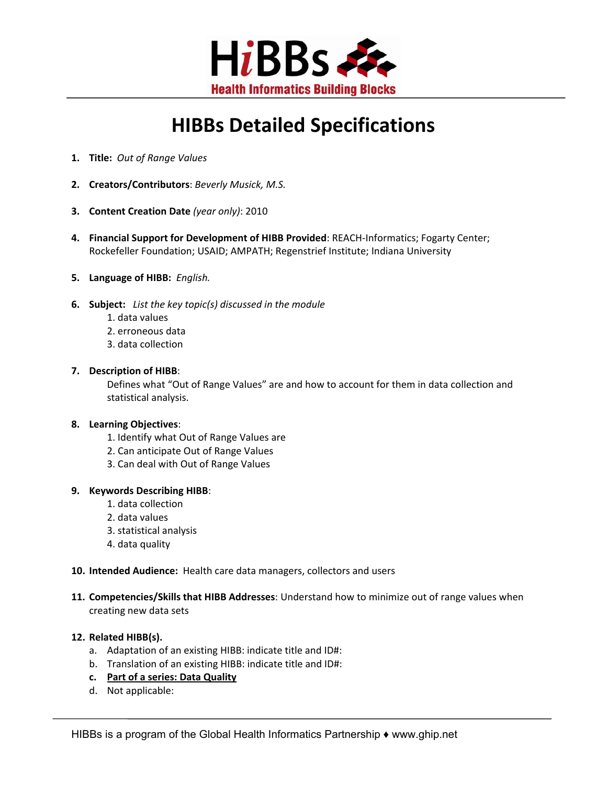

# **HIBBs Detailed Specifications**

- **1. Title:** *Out of Range Values*
- **2. Creators/Contributors**: *Beverly Musick, M.S.*
- **3. Content Creation Date** *(year only)*: 2010
- **4. Financial Support for Development of HIBB Provided**: REACH‐Informatics; Fogarty Center; Rockefeller Foundation; USAID; AMPATH; Regenstrief Institute; Indiana University
- **5. Language of HIBB:** *English.*
- **6. Subject:** *List the key topic(s) discussed in the module*
	- 1. data values
	- 2. erroneous data
	- 3. data collection

#### **7. Description of HIBB**:

Defines what "Out of Range Values" are and how to account for them in data collection and statistical analysis.

#### **8. Learning Objectives**:

- 1. Identify what Out of Range Values are
- 2. Can anticipate Out of Range Values
- 3. Can deal with Out of Range Values

### **9. Keywords Describing HIBB**:

- 1. data collection
- 2. data values
- 3. statistical analysis
- 4. data quality

#### **10. Intended Audience:** Health care data managers, collectors and users

**11. Competencies/Skills that HIBB Addresses**: Understand how to minimize out of range values when creating new data sets

## **12. Related HIBB(s).**

- a. Adaptation of an existing HIBB: indicate title and ID#:
- b. Translation of an existing HIBB: indicate title and ID#:
- **c. Part of a series: Data Quality**
- d. Not applicable: